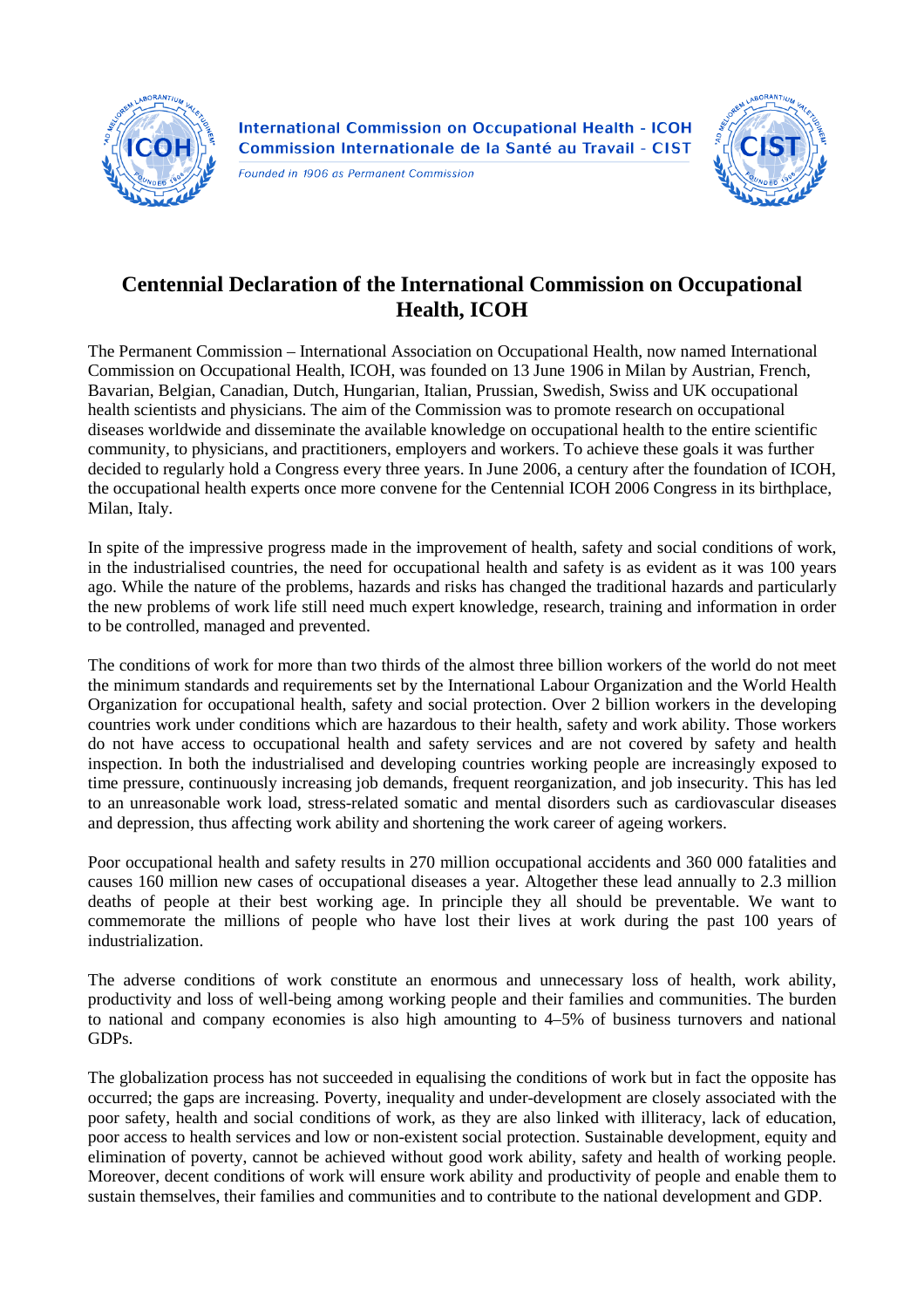

**International Commission on Occupational Health - ICOH** Commission Internationale de la Santé au Travail - CIST

Founded in 1906 as Permanent Commission



## **Centennial Declaration of the International Commission on Occupational Health, ICOH**

The Permanent Commission – International Association on Occupational Health, now named International Commission on Occupational Health, ICOH, was founded on 13 June 1906 in Milan by Austrian, French, Bavarian, Belgian, Canadian, Dutch, Hungarian, Italian, Prussian, Swedish, Swiss and UK occupational health scientists and physicians. The aim of the Commission was to promote research on occupational diseases worldwide and disseminate the available knowledge on occupational health to the entire scientific community, to physicians, and practitioners, employers and workers. To achieve these goals it was further decided to regularly hold a Congress every three years. In June 2006, a century after the foundation of ICOH, the occupational health experts once more convene for the Centennial ICOH 2006 Congress in its birthplace, Milan, Italy.

In spite of the impressive progress made in the improvement of health, safety and social conditions of work, in the industrialised countries, the need for occupational health and safety is as evident as it was 100 years ago. While the nature of the problems, hazards and risks has changed the traditional hazards and particularly the new problems of work life still need much expert knowledge, research, training and information in order to be controlled, managed and prevented.

The conditions of work for more than two thirds of the almost three billion workers of the world do not meet the minimum standards and requirements set by the International Labour Organization and the World Health Organization for occupational health, safety and social protection. Over 2 billion workers in the developing countries work under conditions which are hazardous to their health, safety and work ability. Those workers do not have access to occupational health and safety services and are not covered by safety and health inspection. In both the industrialised and developing countries working people are increasingly exposed to time pressure, continuously increasing job demands, frequent reorganization, and job insecurity. This has led to an unreasonable work load, stress-related somatic and mental disorders such as cardiovascular diseases and depression, thus affecting work ability and shortening the work career of ageing workers.

Poor occupational health and safety results in 270 million occupational accidents and 360 000 fatalities and causes 160 million new cases of occupational diseases a year. Altogether these lead annually to 2.3 million deaths of people at their best working age. In principle they all should be preventable. We want to commemorate the millions of people who have lost their lives at work during the past 100 years of industrialization.

The adverse conditions of work constitute an enormous and unnecessary loss of health, work ability, productivity and loss of well-being among working people and their families and communities. The burden to national and company economies is also high amounting to 4–5% of business turnovers and national GDPs.

The globalization process has not succeeded in equalising the conditions of work but in fact the opposite has occurred; the gaps are increasing. Poverty, inequality and under-development are closely associated with the poor safety, health and social conditions of work, as they are also linked with illiteracy, lack of education, poor access to health services and low or non-existent social protection. Sustainable development, equity and elimination of poverty, cannot be achieved without good work ability, safety and health of working people. Moreover, decent conditions of work will ensure work ability and productivity of people and enable them to sustain themselves, their families and communities and to contribute to the national development and GDP.